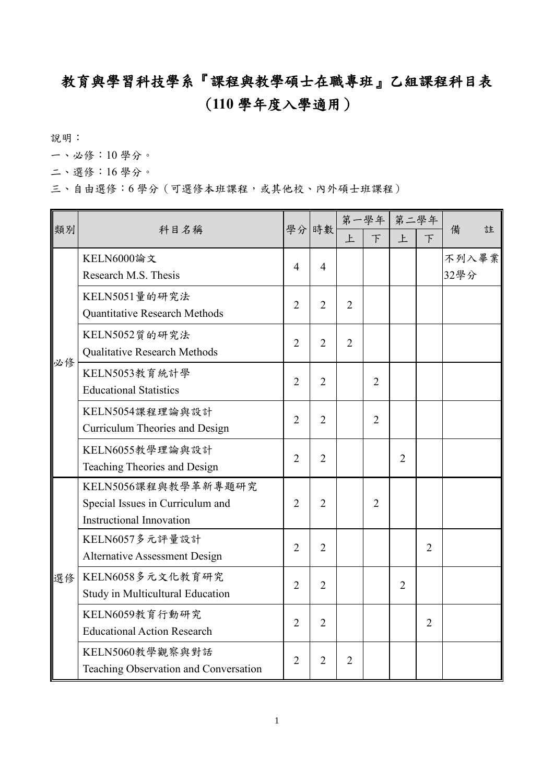## 教育與學習科技學系『課程與教學碩士在職專班』乙組課程科目表 (**110** 學年度入學適用)

說明:

一、必修:10 學分。

二、選修:16 學分。

三、自由選修:6學分(可選修本班課程,或其他校、內外碩士班課程)

| 類別 | 科目名稱                                  |                | 學分 時數          | 第一學年           |                | 第二學年           |                |       |   |
|----|---------------------------------------|----------------|----------------|----------------|----------------|----------------|----------------|-------|---|
|    |                                       |                |                | 上              | $\overline{F}$ | 上              | $\top$         | 備     | 註 |
| 必修 | KELN6000論文                            | $\overline{4}$ | $\overline{4}$ |                |                |                |                | 不列入畢業 |   |
|    | Research M.S. Thesis                  |                |                |                |                |                |                | 32學分  |   |
|    | KELN5051量的研究法                         | $\overline{2}$ | $\overline{2}$ | $\overline{2}$ |                |                |                |       |   |
|    | Quantitative Research Methods         |                |                |                |                |                |                |       |   |
|    | KELN5052質的研究法                         | $\overline{2}$ | $\overline{2}$ | $\overline{2}$ |                |                |                |       |   |
|    | Qualitative Research Methods          |                |                |                |                |                |                |       |   |
|    | KELN5053教育統計學                         | $\overline{2}$ | $\overline{2}$ |                | $\overline{2}$ |                |                |       |   |
|    | <b>Educational Statistics</b>         |                |                |                |                |                |                |       |   |
|    | KELN5054課程理論與設計                       | $\overline{2}$ | $\overline{2}$ |                | $\overline{2}$ |                |                |       |   |
|    | Curriculum Theories and Design        |                |                |                |                |                |                |       |   |
|    | KELN6055教學理論與設計                       | $\overline{2}$ | $\overline{2}$ |                |                | $\overline{2}$ |                |       |   |
|    | Teaching Theories and Design          |                |                |                |                |                |                |       |   |
| 選修 | KELN5056課程與教學革新專題研究                   | $\overline{2}$ | $\overline{2}$ |                | $\overline{2}$ |                |                |       |   |
|    | Special Issues in Curriculum and      |                |                |                |                |                |                |       |   |
|    | <b>Instructional Innovation</b>       |                |                |                |                |                |                |       |   |
|    | KELN6057多元評量設計                        | $\overline{2}$ | $\overline{2}$ |                |                |                | $\overline{2}$ |       |   |
|    | <b>Alternative Assessment Design</b>  |                |                |                |                |                |                |       |   |
|    | KELN6058多元文化教育研究                      | $\overline{2}$ | $\overline{2}$ |                |                | $\overline{2}$ |                |       |   |
|    | Study in Multicultural Education      |                |                |                |                |                |                |       |   |
|    | KELN6059教育行動研究                        | $\overline{2}$ | $\overline{2}$ |                |                |                | $\overline{2}$ |       |   |
|    | <b>Educational Action Research</b>    |                |                |                |                |                |                |       |   |
|    | KELN5060教學觀察與對話                       | $\overline{2}$ | $\overline{2}$ | $\overline{2}$ |                |                |                |       |   |
|    | Teaching Observation and Conversation |                |                |                |                |                |                |       |   |